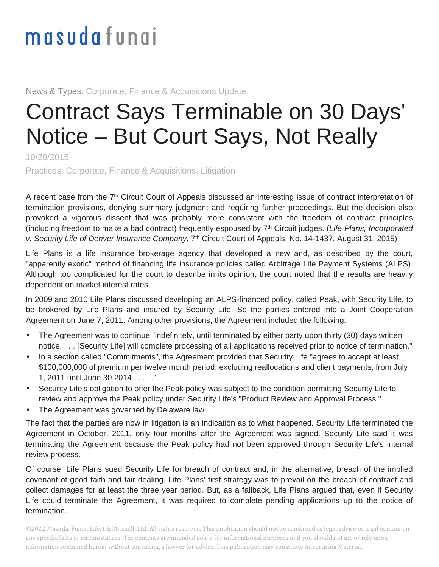## masudafungi

News & Types: Corporate, Finance & Acquisitions Update

## Contract Says Terminable on 30 Days' Notice – But Court Says, Not Really

10/20/2015

Practices: Corporate, Finance & Acquisitions, Litigation

A recent case from the 7<sup>th</sup> Circuit Court of Appeals discussed an interesting issue of contract interpretation of termination provisions, denying summary judgment and requiring further proceedings. But the decision also provoked a vigorous dissent that was probably more consistent with the freedom of contract principles (including freedom to make a bad contract) frequently espoused by  $7<sup>th</sup>$  Circuit judges. (Life Plans, Incorporated v. Security Life of Denver Insurance Company, 7<sup>th</sup> Circuit Court of Appeals, No. 14-1437, August 31, 2015)

Life Plans is a life insurance brokerage agency that developed a new and, as described by the court, "apparently exotic" method of financing life insurance policies called Arbitrage Life Payment Systems (ALPS). Although too complicated for the court to describe in its opinion, the court noted that the results are heavily dependent on market interest rates.

In 2009 and 2010 Life Plans discussed developing an ALPS-financed policy, called Peak, with Security Life, to be brokered by Life Plans and insured by Security Life. So the parties entered into a Joint Cooperation Agreement on June 7, 2011. Among other provisions, the Agreement included the following:

- The Agreement was to continue "indefinitely, until terminated by either party upon thirty (30) days written notice. . . . [Security Life] will complete processing of all applications received prior to notice of termination."
- In a section called "Commitments", the Agreement provided that Security Life "agrees to accept at least \$100,000,000 of premium per twelve month period, excluding reallocations and client payments, from July 1, 2011 until June 30 2014 . . . . ."
- Security Life's obligation to offer the Peak policy was subject to the condition permitting Security Life to review and approve the Peak policy under Security Life's "Product Review and Approval Process."
- The Agreement was governed by Delaware law.

The fact that the parties are now in litigation is an indication as to what happened. Security Life terminated the Agreement in October, 2011, only four months after the Agreement was signed. Security Life said it was terminating the Agreement because the Peak policy had not been approved through Security Life's internal review process.

Of course, Life Plans sued Security Life for breach of contract and, in the alternative, breach of the implied covenant of good faith and fair dealing. Life Plans' first strategy was to prevail on the breach of contract and collect damages for at least the three year period. But, as a fallback, Life Plans argued that, even if Security Life could terminate the Agreement, it was required to complete pending applications up to the notice of termination.

©2022 Masuda, Funai, Eifert & Mitchell, Ltd. All rights reserved. This publication should not be construed as legal advice or legal opinion on any specific facts or circumstances. The contents are intended solely for informational purposes and you should not act or rely upon information contained herein without consulting a lawyer for advice. This publication may constitute Advertising Material.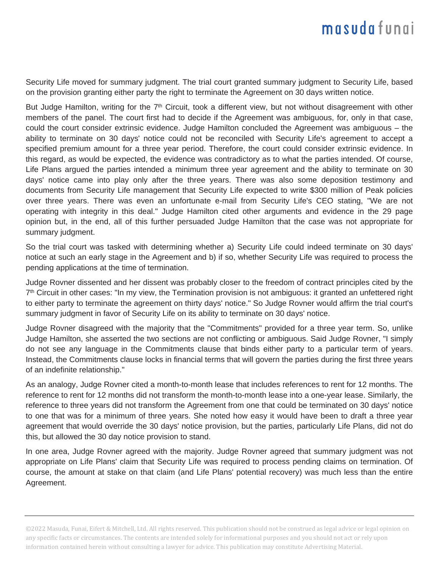## masudafunai

Security Life moved for summary judgment. The trial court granted summary judgment to Security Life, based on the provision granting either party the right to terminate the Agreement on 30 days written notice.

But Judge Hamilton, writing for the  $7<sup>th</sup>$  Circuit, took a different view, but not without disagreement with other members of the panel. The court first had to decide if the Agreement was ambiguous, for, only in that case, could the court consider extrinsic evidence. Judge Hamilton concluded the Agreement was ambiguous – the ability to terminate on 30 days' notice could not be reconciled with Security Life's agreement to accept a specified premium amount for a three year period. Therefore, the court could consider extrinsic evidence. In this regard, as would be expected, the evidence was contradictory as to what the parties intended. Of course, Life Plans argued the parties intended a minimum three year agreement and the ability to terminate on 30 days' notice came into play only after the three years. There was also some deposition testimony and documents from Security Life management that Security Life expected to write \$300 million of Peak policies over three years. There was even an unfortunate e-mail from Security Life's CEO stating, "We are not operating with integrity in this deal." Judge Hamilton cited other arguments and evidence in the 29 page opinion but, in the end, all of this further persuaded Judge Hamilton that the case was not appropriate for summary judgment.

So the trial court was tasked with determining whether a) Security Life could indeed terminate on 30 days' notice at such an early stage in the Agreement and b) if so, whether Security Life was required to process the pending applications at the time of termination.

Judge Rovner dissented and her dissent was probably closer to the freedom of contract principles cited by the 7<sup>th</sup> Circuit in other cases: "In my view, the Termination provision is not ambiguous: it granted an unfettered right to either party to terminate the agreement on thirty days' notice." So Judge Rovner would affirm the trial court's summary judgment in favor of Security Life on its ability to terminate on 30 days' notice.

Judge Rovner disagreed with the majority that the "Commitments" provided for a three year term. So, unlike Judge Hamilton, she asserted the two sections are not conflicting or ambiguous. Said Judge Rovner, "I simply do not see any language in the Commitments clause that binds either party to a particular term of years. Instead, the Commitments clause locks in financial terms that will govern the parties during the first three years of an indefinite relationship."

As an analogy, Judge Rovner cited a month-to-month lease that includes references to rent for 12 months. The reference to rent for 12 months did not transform the month-to-month lease into a one-year lease. Similarly, the reference to three years did not transform the Agreement from one that could be terminated on 30 days' notice to one that was for a minimum of three years. She noted how easy it would have been to draft a three year agreement that would override the 30 days' notice provision, but the parties, particularly Life Plans, did not do this, but allowed the 30 day notice provision to stand.

In one area, Judge Rovner agreed with the majority. Judge Rovner agreed that summary judgment was not appropriate on Life Plans' claim that Security Life was required to process pending claims on termination. Of course, the amount at stake on that claim (and Life Plans' potential recovery) was much less than the entire Agreement.

©2022 Masuda, Funai, Eifert & Mitchell, Ltd. All rights reserved. This publication should not be construed as legal advice or legal opinion on any specific facts or circumstances. The contents are intended solely for informational purposes and you should not act or rely upon information contained herein without consulting a lawyer for advice. This publication may constitute Advertising Material.